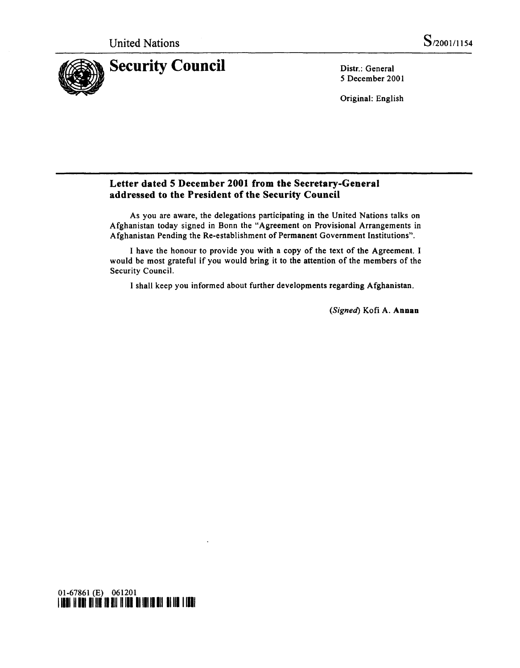

Original: English

## **Letter dated 5 December 2001 from the Secretary-General addressed to the President of the Security Council**

As you are aware, the delegations participating in the United Nations talks on Afghanistan today signed in Bonn the "Agreement on Provisional Arrangements in Afghanistan Pending the Re-establishment of Permanent Government Institutions".

I have the honour to provide you with a copy of the text of the Agreement. I would be most grateful if you would bring it to the attention of the members of the Security Council.

I shall keep you informed about further developments regarding Afghanistan.

*(Signed)* Kofi A. **Annan** 

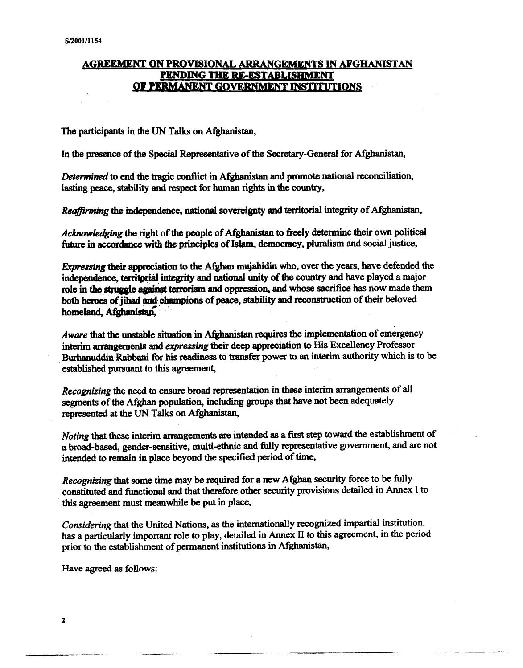## **AGREEMENT ON PROVISIONAL ARRANGEMENTS IN AFGHANISTAN PENDING THE RE-ESTABLISHMENT OF PERMANENT GOVERNMENT INSTITUTIONS**

The participants in the UN Talks on Afghanistan,

In the presence of the Special Representative of the Secretary-General for Afghanistan,

*Determined to* end the tragic conflict in Afghanistan and promote national reconciliation, lasting peace, stability and respect for human rights in the country,

*Reaffirming* the independence, national sovereignty and territorial integrity of Afghanistan,

*Acknowledging* the right of the people of Afghanistan to freely determine their own political future in accordance with the principles of Islam, democracy, pluralism and social justice,

*Expressing* their appreciation to the Afghan mujahidin who, over the years, have defended the independence, territorial integrity and national unity of the country and have played a major role in **the struggle against terrorism** and oppression, and whose sacrifice has now made them both **heroes of** jihad **and champions** of peace, stability and reconstruction of their beloved homeland, Afghanistan,

*Aware* **that the** unstable situation in Afghanistan requires the implementation of emergency interim arrangements and *expressing* their deep appreciation to His Excellency Professor Burhanuddin Rabbani for his readiness to transfer power to an interim authority which is to be established pursuant to this agreement,

*Recognizing* the need to ensure broad representation in these interim arrangements of all segments of the Afghan population, including groups that have not been adequately represented at the UN Talks on Afghanistan,

*Noting* that these interim arrangements are intended as a first step toward the establishment of a broad-based, gender-sensitive, multi-ethnic and fully representative government, and are not intended to remain in place beyond the specified period of time,

*Recognizing* that some time may be required for a new Afghan security force to be fully constituted and functional and that therefore other security provisions detailed in Annex I to this agreement must meanwhile be put in place,

*Considering* that the United Nations, as the internationally recognized impartial institution, has a particularly important role to play, detailed in Annex II to this agreement, in the period prior to the establishment of permanent institutions in Afghanistan,

Have agreed as follows;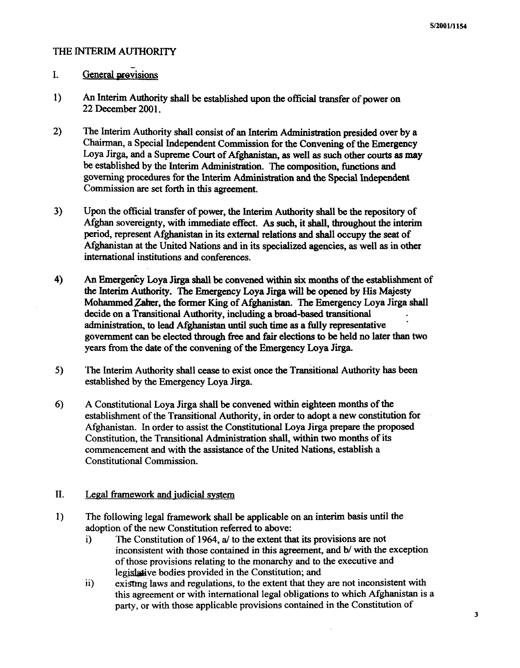## THE INTERIM AUTHORITY

## I. General previsions

- 1) An Interim Authority shall be established upon the official transfer of power on 22 December 2001.
- 2) The Interim Authority shall consist of an Interim Administration presided over by a Chairman, a Special Independent Commission for the Convening of the Emergency Loya Jirga, and a Supreme Court of Afghanistan, as well as such other courts as may be established by the Interim Administration. The composition, functions and governing procedures for the Interim Administration and the Special Independent Commission are set forth in this agreement.
- 3) Upon the official transfer of power, the Interim Authority shall be the repository of Afghan sovereignty, with immediate effect. As such, it shall, throughout the interim period, represent Afghanistan in its external relations and shall occupy the seat of Afghanistan at the United Nations and in its specialized agencies, as well as in other international institutions and conferences.
- 4) An Emergency Loya Jirga shall be convened within six months of the establishment of the Interim Authority. The Emergency Loya Jirga will be opened by His Majesty Mohammed Zaher, the former King of Afghanistan. The Emergency Loya Jirga shall decide on a Transitional Authority, including a broad-based transitional administration, to lead Afghanistan until such time as a fully representative government can be elected through free and fair elections to be held no later than two years from the date of the convening of the Emergency Loya Jirga.
- 5) The Interim Authority shall cease to exist once the Transitional Authority has been established by the Emergency Loya Jirga.
- 6) A Constitutional Loya Jirga shall be convened within eighteen months of the establishment of the Transitional Authority, in order to adopt a new constitution for Afghanistan. In order to assist the Constitutional Loya Jirga prepare the proposed Constitution, the Transitional Administration shall, within two months of its commencement and with the assistance of the United Nations, establish a Constitutional Commission.

## II. Legal framework and judicial system

- 1) The following legal framework shall be applicable on an interim basis until the adoption of the new Constitution referred to above:
	- i) The Constitution of 1964, a/ to the extent that its provisions are not inconsistent with those contained in this agreement, and b/ with the exception of those provisions relating to the monarchy and to the executive and legislative bodies provided in the Constitution; and
	- ii) existing laws and regulations, to the extent that they are not inconsistent with this agreement or with international legal obligations to which Afghanistan is a party, or with those applicable provisions contained in the Constitution of

 $\mathbf{3}$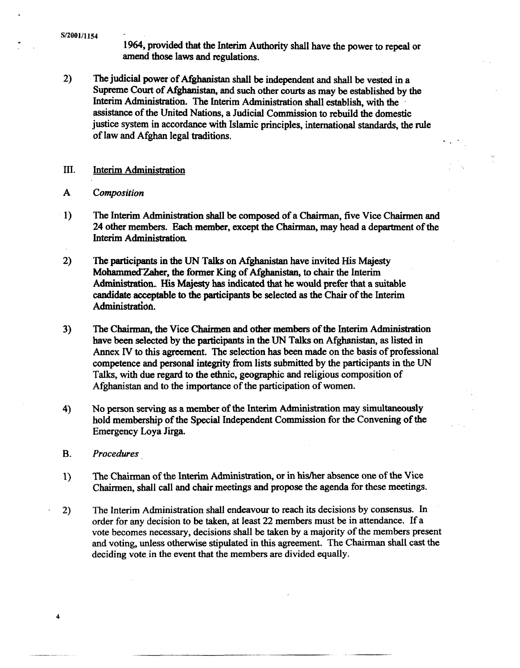1964, provided that the Interim Authority shall have the power to repeal or amend those laws and regulations.

2) The judicial power of Afghanistan shall be independent and shall be vested in a Supreme Court of Afghanistan, and such other courts as may be established by the Interim Administration. The Interim Administration shall establish, with the assistance of the United Nations, a Judicial Commission to rebuild the domestic justice system in accordance with Islamic principles, international standards, the rule of law and Afghan legal traditions.

### III. Interim Administration

#### A *Composition*

- 1) The Interim Administration shall be composed of a Chairman, five Vice Chairmen and 24 other members. Each member, except the Chairman, may head a department of the Interim Administration
- 2) The participants in the UN Talks on Afghanistan have invited His Majesty Mohammed"Zaher, the former King of Afghanistan, to chair the Interim Administration. His Majesty has indicated that he would prefer that a suitable candidate acceptable to die participants be selected as the Chair of the Interim Administration.
- 3) The Chairman, the Vice Chairmen and other members of the Interim Administration have been selected by the participants in the UN Talks on Afghanistan, as listed in Annex IV to this agreement. The selection has been made on the basis of professional competence and personal integrity from lists submitted by the participants in the UN Talks, with due regard to the ethnic, geographic and religious composition of Afghanistan and to the importance of the participation of women.
- 4) No person serving as a member of the Interim Administration may simultaneously hold membership of the Special Independent Commission for the Convening of the Emergency Loya Jirga.

#### B. *Procedures*

 $\ddot{\phantom{a}}$ 

- 1) The Chairman of the Interim Administration, or in his/her absence one of the Vice Chairmen, shall call and chair meetings and propose the agenda for these meetings.
- 2) The Interim Administration shall endeavour to reach its decisions by consensus. In order for any decision to be taken, at least 22 members must be in attendance. If a vote becomes necessary, decisions shall be taken by a majority of the members present and voting, unless otherwise stipulated in this agreement. The Chairman shall cast the deciding vote in the event that the members are divided equally.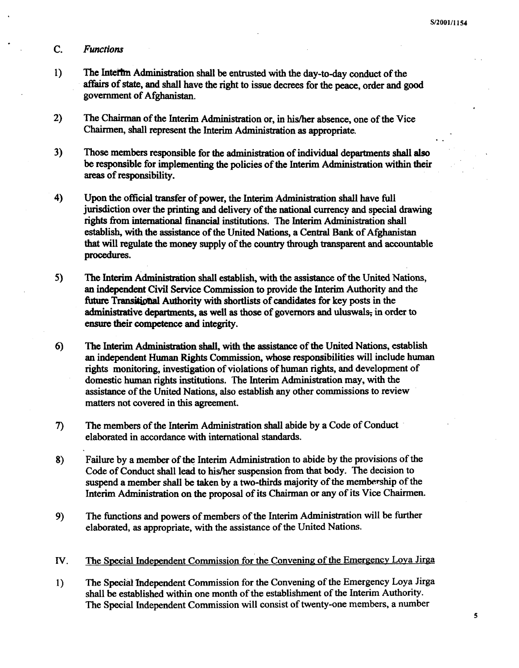## **C.** *Functions*

- **1) The Interim Administration shall be entrusted with the day-to-day conduct of the affairs of state, and shall have the right to issue decrees for the peace, order and good government of Afghanistan.**
- **2) The Chairman of the Interim Administration or, in his/her absence, one of the Vice Chairmen, shall represent the Interim Administration as appropriate.**
- **3) Those members responsible for the administration of individual departments shall also**  be responsible for implementing the policies of the Interim Administration within their **areas of responsibility.**
- **4) Upon the official transfer of power, the Interim Administration shall have full jurisdiction over the printing and delivery of the national currency and special drawing rights from international financial institutions. The Interim Administration shall establish, with the assistance of the United Nations, a Central Bank of Afghanistan that will regulate the money supply of the country through transparent and accountable procedures.**
- **5) The Interim Administration shall establish, with the assistance of the United Nations, an independent Civil Service Commission to provide the Interim Authority and the future Transitional Authority with shortlists of candidates for key posts in the**  administrative departments, as well as those of governors and uluswals<sub>z</sub> in order to **ensure their competence and integrity.**
- **6) The Interim Administration shall, with the assistance of the United Nations, establish an independent Human Rights Commission, whose responsibilities will include human rights monitoring, investigation of violations of human rights, and development of domestic human rights institutions. The Interim Administration may, with the assistance of the United Nations, also establish any other commissions to review matters not covered in this agreement.**
- **7)** The members of the Interim Administration shall abide by a Code of Conduct **elaborated in accordance with international standards.**
- **8) Failure by a member of the Interim Administration to abide by the provisions of the Code of Conduct shall lead to his/her suspension from that body. The decision to suspend a member shall be taken by a two-thirds majority of the membership of the Interim Administration on the proposal of its Chairman or any of its Vice Chairmen.**
- **9) The functions and powers of members of the Interim Administration will be further elaborated, as appropriate, with the assistance of the United Nations.**

## **IV. The Special Independent Commission for the Convening of the Emergency Lova Jirga**

**1) The Special Independent Commission for the Convening of the Emergency Loya Jirga shall be established within one month of the establishment of the Interim Authority. The Special Independent Commission will consist of twenty-one members, a number** 

**5**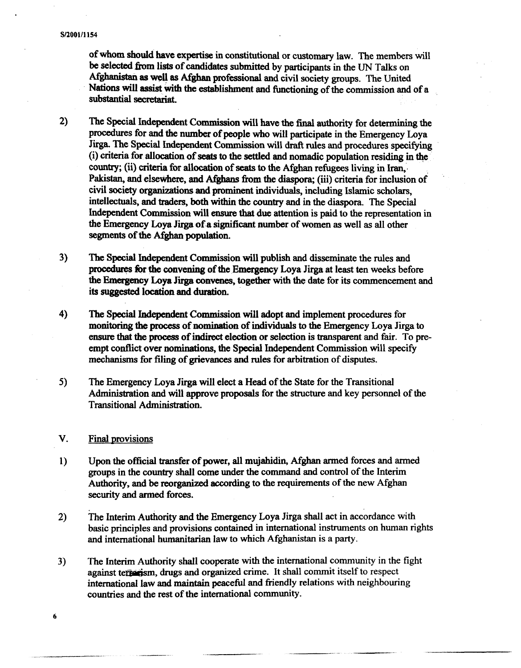#### **S/2001/1154**

**of whom should have expertise in constitutional or customary law. The members will be selected from lists of candidates submitted by participants in the UN Talks on Afghanistan as well as Afghan professional and civil society groups. The United Nations will assist with the establishment and functioning of the commission and of a**  substantial secretariat.

2) The Special Independent Commission will have the final authority for determining the **procedures for and the number of people who will participate in the Emergency Loya Jirga. The Special Independent Commission will draft rules and procedures specifying (i) criteria for allocation of seats to the settled and nomadic population residing in the country; (ii) criteria for allocation of seats to the Afghan refugees living in Iran, Pakistan, and elsewhere, and Afghans from the diaspora; (iii) criteria for inclusion of civil society organizations and prominent individuals, including Islamic scholars, intellectuals, and traders, both within the country and in the diaspora. The Special Independent Commission will ensure that due attention is paid to the representation in the Emergency Loya Jirga of a significant number of women as well as all other segments of the Afghan population.** 

**3) The Special Independent Commission will publish and disseminate the rules and procedures for the convening of the Emergency Loya Jirga at least ten weeks before the Emergency Loya Jirga convenes, together with the date for its commencement and its suggested location and duration.** 

**4) The Special Independent Commission will adopt and implement procedures for monitoring the process of nomination of individuals to the Emergency Loya Jirga to ensure that the process of indirect election or selection is transparent and fair. To preempt conflict over nominations, the Special Independent Commission will specify mechanisms for filing of grievances and rules for arbitration of disputes.** 

**5) The Emergency Loya Jirga will elect a Head of the State for the Transitional Administration and will approve proposals for the structure and key personnel of the Transitional Administration.** 

### **V. Final provisions**

**1) Upon the official transfer of power, all mujahidin, Afghan armed forces and armed groups in the country shall come under the command and control of the Interim Authority, and be reorganized according to the requirements of the new Afghan security and armed forces.** 

**2) The Interim Authority and the Emergency Loya Jirga shall act in accordance with basic principles and provisions contained in international instruments on human rights and international humanitarian law to which Afghanistan is a party.** 

**3) The Interim Authority shall cooperate with the international community in the fight**  against terperism, drugs and organized crime. It shall commit itself to respect **international law and maintain peaceful and friendly relations with neighbouring countries and the rest of the international community.** 

**6**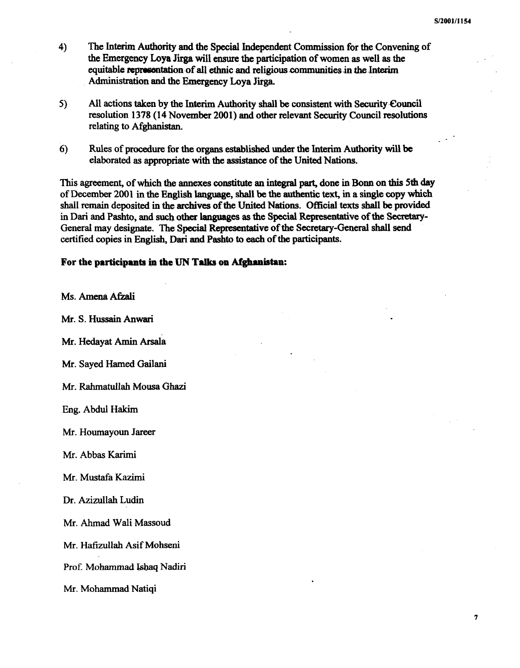- 4) The Interim Authority and the Special Independent Commission for the Convening of the Emergency Loya Jirga will ensure the participation of women as well as the equitable representation of all ethnic and religious communities in the Interim Administration and the Emergency Loya Jirga.
- 5) All actions taken by the Interim Authority shall be consistent with Security Council resolution 1378 (14 November 2001) and other relevant Security Council resolutions relating to Afghanistan.
- 6) Rules of procedure for the organs established under the Interim Authority will be elaborated as appropriate with the assistance of the United Nations.

This agreement, of which the annexes constitute an integral part, done in Bonn on this 5th day of December 2001 in the English language, shall be the authentic text, in a single copy which shall remain deposited in the archives of the United Nations. Official texts shall be provided in Dari and Pashto, and such other languages as the Special Representative of the Secretary-General may designate. The Special Representative of the Secretary-General shall send certified copies in English, Dari and Pashto to each of the participants.

#### For the **participants in the UN Talks on Afghanistan:**

Ms. Amena Afzali

Mr. S. Hussain Anwari

Mr. Hedayat Amin Arsala

Mr. Sayed Hamed Gailani

Mr. Rahmatullah Mousa Ghazi

Eng. Abdul Hakim

Mr. Houmayoun Jareer

Mr. Abbas Karimi

Mr. Mustafa Kazimi

Dr. Azizullah Ludin

Mr. Ahmad Wali Massoud

Mr. Hafizullah Asif Mohseni

Prof. Mohammad Ishaq Nadiri

Mr. Mohammad Natiqi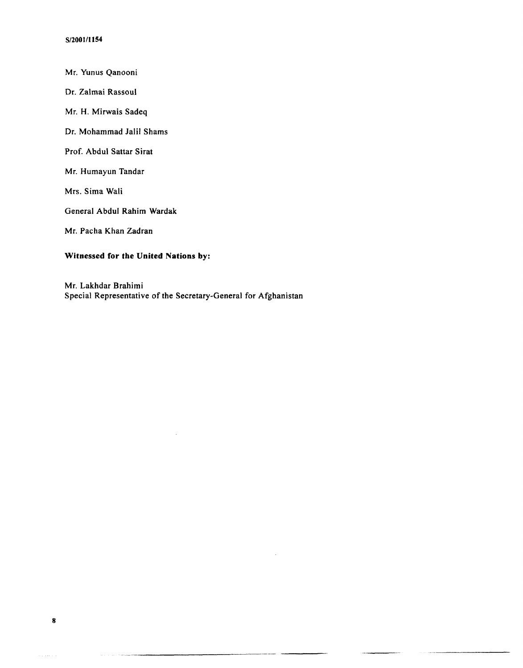Mr. Yunus Qanooni

Dr. Zalmai Rassoul

Mr. H. Mirwais Sadeq

Dr. Mohammad Jalil Shams

Prof. Abdul Sattar Sirat

Mr. Humayun Tandar

Mrs. Sima Wali

General Abdul Rahim Wardak

Mr. Pacha Khan Zadran

### **Witnessed for the United Nations by:**

Mr. Lakhdar Brahimi Special Representative of the Secretary-General for Afghanistan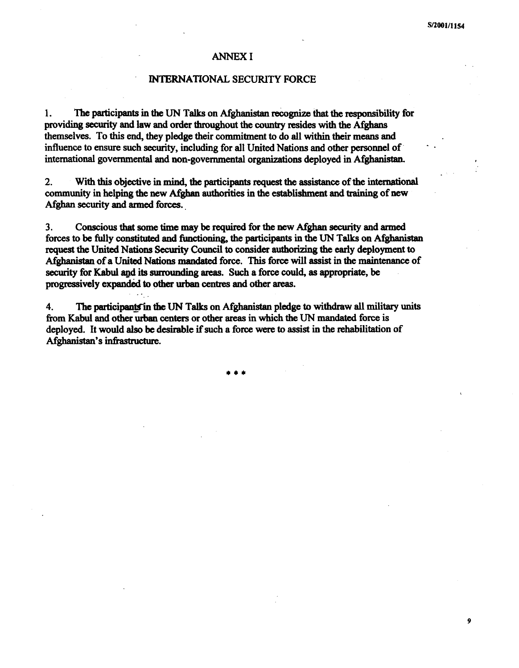9

## **ANNEX I**

## **INTERNATIONAL SECURITY FORCE**

**1. The participants in the UN Talks on Afghanistan recognize that the responsibility for providing security and law and order throughout the country resides with the Afghans themselves. To this end, they pledge their commitment to do all within their means and influence to ensure such security, including for all United Nations and other personnel of international governmental and non-governmental organizations deployed in Afghanistan.** 

**2. With this objective in mind, the participants request the assistance of the international community in helping the new Afghan authorities in the establishment and training of new Afghan security and armed forces.** 

**3. Conscious that some time may be required for the new Afghan security and armed forces to be fully constituted and functioning, the participants in the UN Talks on Afghanistan request the United Nations Security Council to consider authorizing the early deployment to Afghanistan of a United Nations mandated force. This force will assist in the maintenance of security for Kabul and its surrounding areas. Such a force could, as appropriate, be progressively expanded to other urban centres and other areas.** 

4. The participants in the UN Talks on Afghanistan pledge to withdraw all military units **from Kabul and other urban centers or other areas in which the UN mandated force is deployed. It would also be desirable if such a force were to assist in the rehabilitation of Afghanistan's infrastructure.** 

**\* \* \***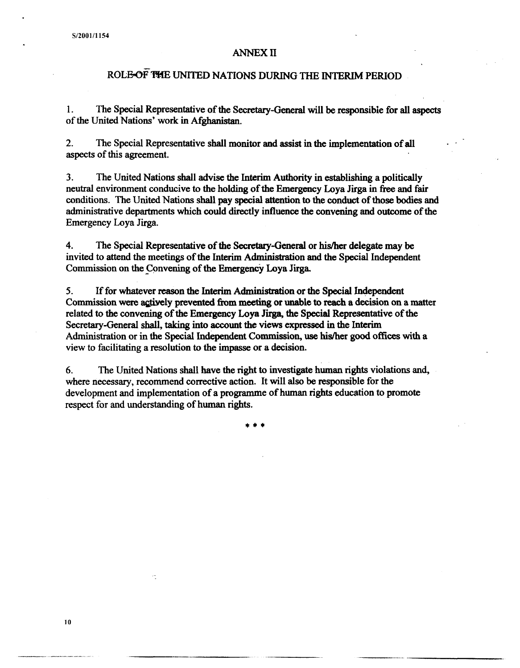#### ANNEX II

# ROL&OF THE UNITED NATIONS DURING THE INTERIM PERIOD

1. The Special Representative of the Secretary-General will be responsible for all aspects of the United Nations' work in Afghanistan.

2. The Special Representative shall monitor and assist in the implementation of all aspects of this agreement.

3. The United Nations shall advise the Interim Authority in establishing a politically neutral environment conducive to the holding of the Emergency Loya Jirga in free and fair conditions. The United Nations shall pay special attention to the conduct of those bodies and administrative departments which could directly influence the convening and outcome of the Emergency Loya Jirga.

4. The Special Representative of the Secretary-General or his/her delegate may be invited to attend the meetings of the Interim Administration and the Special Independent Commission on the Convening of the Emergency Loya Jirga.

5. If for whatever reason the Interim Administration or the Special Independent Commission were actively prevented from meeting or unable to reach a decision on a matter related to the convening of the Emergency Loya Jirga, the Special Representative of the Secretary-General shall, taking into account the views expressed in the Interim Administration or in the Special Independent Commission, use his/her good offices with a view to facilitating a resolution to the impasse or a decision.

6. The United Nations shall have the right to investigate human rights violations and, where necessary, recommend corrective action. It will also be responsible for the development and implementation of a programme of human rights education to promote respect for and understanding of human rights.

**\* \* \***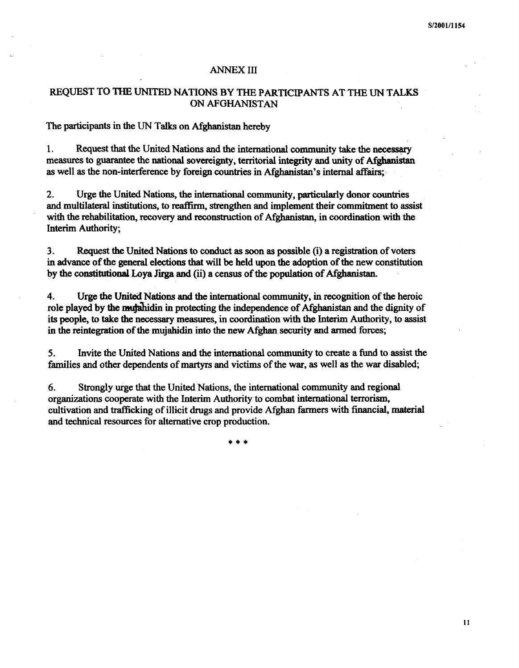#### **ANNEX III**

## **REQUEST TO THE UNITED NATIONS BY THE PARTICIPANTS AT THE UN TALKS ON AFGHANISTAN**

#### **The participants in the UN Talks on Afghanistan hereby**

**1. Request that the United Nations and the international community take the necessary measures to guarantee the national sovereignty, territorial integrity and unity of Afghanistan as well as the non-interference by foreign countries in Afghanistan's internal affairs;** 

**2. Urge the United Nations, the international community, particularly donor countries and multilateral institutions, to reaffirm, strengthen and implement their commitment to assist with the rehabilitation, recovery and reconstruction of Afghanistan, in coordination with the Interim Authority;** 

**3. Request the United Nations to conduct as soon as possible (i) a registration of voters in advance of the general elections that will be held upon the adoption of the new constitution by die constitutional Loya Jirga and (ii) a census of the population of Afghanistan.** 

**4. Urge the United Nations and the international community, in recognition of the heroic**  role played by the mutahidin in protecting the independence of Afghanistan and the dignity of **its people, to take the necessary measures, in coordination with the Interim Authority, to assist in the reintegration of the mujanidin into the new Afghan security and armed forces;** 

**5. Invite the United Nations and the international community to create a fund to assist the families and other dependents of martyrs and victims of the war, as well as the war disabled;** 

**6. Strongly urge that the United Nations, the international community and regional organizations cooperate with the Interim Authority to combat international terrorism, cultivation and trafficking of illicit drugs and provide Afghan farmers with financial, material and technical resources for alternative crop production.** 

**\* \* \***